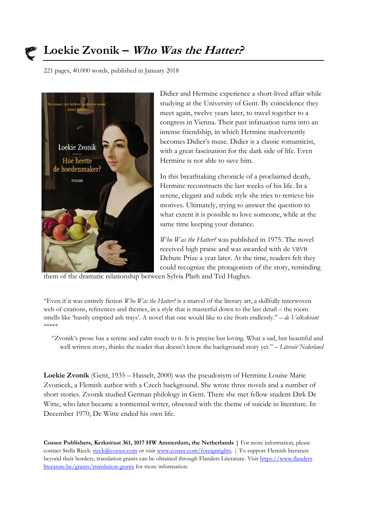

## **Loekie Zvonik – Who Was the Hatter?**

221 pages, 40.000 words, published in January 2018



Didier and Hermine experience a short-lived affair while studying at the University of Gent. By coincidence they meet again, twelve years later, to travel together to a congress in Vienna. Their past infatuation turns into an intense friendship, in which Hermine inadvertently becomes Didier's muse. Didier is a classic romanticist, with a great fascination for the dark side of life. Even Hermine is not able to save him.

In this breathtaking chronicle of a proclaimed death, Hermine reconstructs the last weeks of his life. In a serene, elegant and subtle style she tries to retrieve his motives. Ultimately, trying to answer the question to what extent it is possible to love someone, while at the same time keeping your distance.

*Who Was the Hatter?* was published in 1975. The novel received high praise and was awarded with de VBVB Debute Prize a year later. At the time, readers felt they could recognize the protagonists of the story, reminding

them of the dramatic relationship between Sylvia Plath and Ted Hughes.

"Even if it was entirely fiction *Who Was the Hatter?* is a marvel of the literary art, a skillfully interwoven web of citations, references and themes, in a style that is masterful down to the last detail – the room smells like 'hastily emptied ash trays'. A novel that one would like to cite from endlessly." – *de Volkskrant* \*\*\*\*\*

"Zvonik's prose has a serene and calm touch to it. It is precise but loving. What a sad, but beautiful and well written story, thinks the reader that doesn't know the background story yet." – *Literair Nederland*

**Loekie Zvonik** (Gent, 1935 – Hasselt, 2000) was the pseudonym of Hermine Louise Marie Zvonicek, a Flemish author with a Czech background. She wrote three novels and a number of short stories. Zvonik studied German philology in Gent. There she met fellow student Dirk De Witte, who later became a tormented writer, obsessed with the theme of suicide in literature. In December 1970, De Witte ended his own life.

**Cossee Publishers, Kerkstraat 361, 1017 HW Amsterdam, the Netherlands |** For more information, please contact Stella Rieck: [rieck@cossee.com](mailto:rieck@cossee.com) or visi[t www.cossee.com/foreignrights.](http://www.cossee.com/foreignrights) | To support Flemish literature beyond their borders, translation grants can be obtained through Flanders Literature. Visit https://www.flanders literature.be/grants/translation-grants for more information.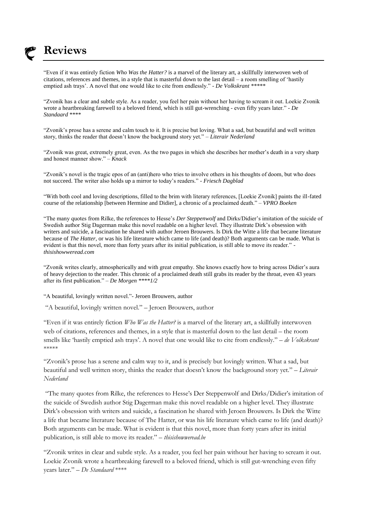

## **Reviews**

"Even if it was entirely fiction *Who Was the Hatter?* is a marvel of the literary art, a skillfully interwoven web of citations, references and themes, in a style that is masterful down to the last detail – a room smelling of 'hastily emptied ash trays'. A novel that one would like to cite from endlessly." - *De Volkskrant \*\*\*\*\**

"Zvonik has a clear and subtle style. As a reader, you feel her pain without her having to scream it out. Loekie Zvonik wrote a heartbreaking farewell to a beloved friend, which is still gut-wrenching - even fifty years later." - *De Standaard* \*\*\*\*

"Zvonik's prose has a serene and calm touch to it. It is precise but loving. What a sad, but beautiful and well written story, thinks the reader that doesn't know the background story yet." – *Literair Nederland*

"Zvonik was great, extremely great, even. As the two pages in which she describes her mother's death in a very sharp and honest manner show." – *Knack* 

"Zvonik's novel is the tragic epos of an (anti)hero who tries to involve others in his thoughts of doom, but who does not succeed. The writer also holds up a mirror to today's readers." - *Friesch Dagblad*

"With both cool and loving descriptions, filled to the brim with literary references, [Loekie Zvonik] paints the ill-fated course of the relationship [between Hermine and Didier], a chronic of a proclaimed death." – *VPRO Boeken*

"The many quotes from Rilke, the references to Hesse's *Der Steppenwolf* and Dirks/Didier's imitation of the suicide of Swedish author Stig Dagerman make this novel readable on a higher level. They illustrate Dirk's obsession with writers and suicide, a fascination he shared with author Jeroen Brouwers. Is Dirk the Witte a life that became literature because of *The Hatter,* or was his life literature which came to life (and death)? Both arguments can be made. What is evident is that this novel, more than forty years after its initial publication, is still able to move its reader." *thisishowweread.com*

"Zvonik writes clearly, atmospherically and with great empathy. She knows exactly how to bring across Didier's aura of heavy dejection to the reader. This chronic of a proclaimed death still grabs its reader by the throat, even 43 years after its first publication." – *De Morgen \*\*\*\*1/2*

"A beautiful, lovingly written novel."- Jeroen Brouwers, author

"A beautiful, lovingly written novel." – Jeroen Brouwers, author

"Even if it was entirely fiction *Who Was the Hatter?* is a marvel of the literary art, a skillfully interwoven web of citations, references and themes, in a style that is masterful down to the last detail – the room smells like 'hastily emptied ash trays'. A novel that one would like to cite from endlessly." – *de Volkskrant* \*\*\*\*\*

"Zvonik's prose has a serene and calm way to it, and is precisely but lovingly written. What a sad, but beautiful and well written story, thinks the reader that doesn't know the background story yet." – *Literair Nederland*

"The many quotes from Rilke, the references to Hesse's Der Steppenwolf and Dirks/Didier's imitation of the suicide of Swedish author Stig Dagerman make this novel readable on a higher level. They illustrate Dirk's obsession with writers and suicide, a fascination he shared with Jeroen Brouwers. Is Dirk the Witte a life that became literature because of The Hatter, or was his life literature which came to life (and death)? Both arguments can be made. What is evident is that this novel, more than forty years after its initial publication, is still able to move its reader." – *thisishowweread.be*

"Zvonik writes in clear and subtle style. As a reader, you feel her pain without her having to scream it out. Loekie Zvonik wrote a heartbreaking farewell to a beloved friend, which is still gut-wrenching even fifty years later." – *De Standaard* \*\*\*\*